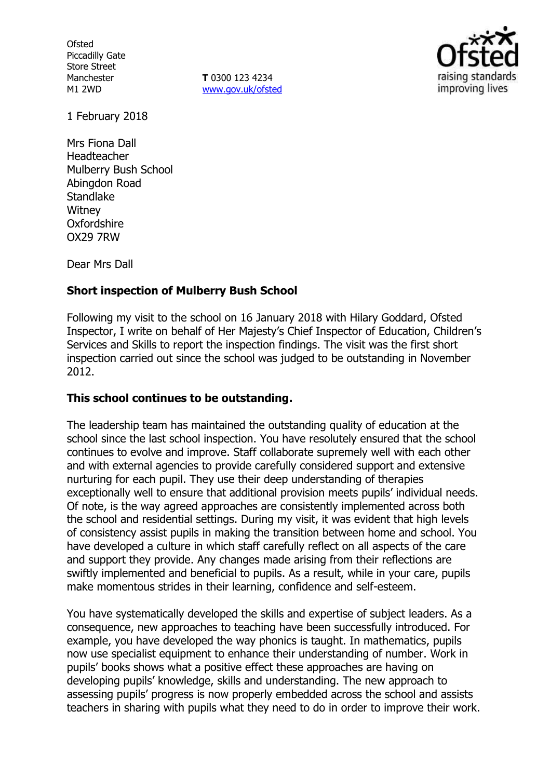**Ofsted** Piccadilly Gate Store Street Manchester M1 2WD

**T** 0300 123 4234 www.gov.uk/ofsted



1 February 2018

Mrs Fiona Dall Headteacher Mulberry Bush School Abingdon Road Standlake **Witney Oxfordshire** OX29 7RW

Dear Mrs Dall

# **Short inspection of Mulberry Bush School**

Following my visit to the school on 16 January 2018 with Hilary Goddard, Ofsted Inspector, I write on behalf of Her Majesty's Chief Inspector of Education, Children's Services and Skills to report the inspection findings. The visit was the first short inspection carried out since the school was judged to be outstanding in November 2012.

# **This school continues to be outstanding.**

The leadership team has maintained the outstanding quality of education at the school since the last school inspection. You have resolutely ensured that the school continues to evolve and improve. Staff collaborate supremely well with each other and with external agencies to provide carefully considered support and extensive nurturing for each pupil. They use their deep understanding of therapies exceptionally well to ensure that additional provision meets pupils' individual needs. Of note, is the way agreed approaches are consistently implemented across both the school and residential settings. During my visit, it was evident that high levels of consistency assist pupils in making the transition between home and school. You have developed a culture in which staff carefully reflect on all aspects of the care and support they provide. Any changes made arising from their reflections are swiftly implemented and beneficial to pupils. As a result, while in your care, pupils make momentous strides in their learning, confidence and self-esteem.

You have systematically developed the skills and expertise of subject leaders. As a consequence, new approaches to teaching have been successfully introduced. For example, you have developed the way phonics is taught. In mathematics, pupils now use specialist equipment to enhance their understanding of number. Work in pupils' books shows what a positive effect these approaches are having on developing pupils' knowledge, skills and understanding. The new approach to assessing pupils' progress is now properly embedded across the school and assists teachers in sharing with pupils what they need to do in order to improve their work.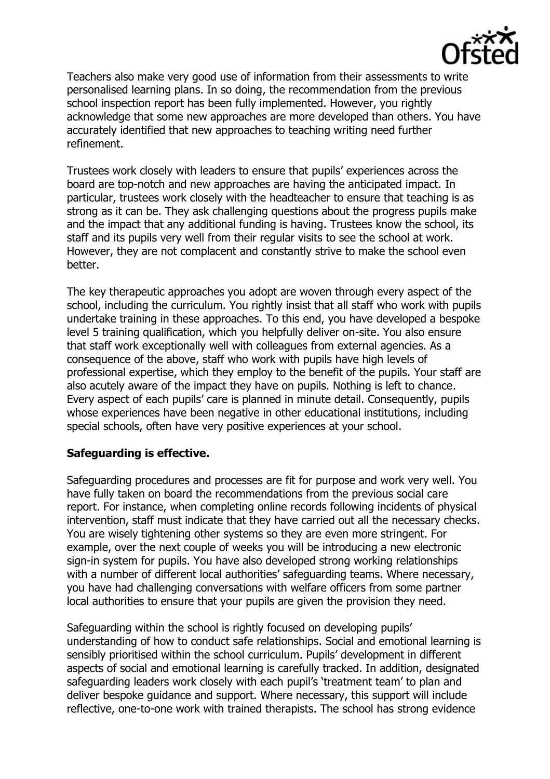

Teachers also make very good use of information from their assessments to write personalised learning plans. In so doing, the recommendation from the previous school inspection report has been fully implemented. However, you rightly acknowledge that some new approaches are more developed than others. You have accurately identified that new approaches to teaching writing need further refinement.

Trustees work closely with leaders to ensure that pupils' experiences across the board are top-notch and new approaches are having the anticipated impact. In particular, trustees work closely with the headteacher to ensure that teaching is as strong as it can be. They ask challenging questions about the progress pupils make and the impact that any additional funding is having. Trustees know the school, its staff and its pupils very well from their regular visits to see the school at work. However, they are not complacent and constantly strive to make the school even better.

The key therapeutic approaches you adopt are woven through every aspect of the school, including the curriculum. You rightly insist that all staff who work with pupils undertake training in these approaches. To this end, you have developed a bespoke level 5 training qualification, which you helpfully deliver on-site. You also ensure that staff work exceptionally well with colleagues from external agencies. As a consequence of the above, staff who work with pupils have high levels of professional expertise, which they employ to the benefit of the pupils. Your staff are also acutely aware of the impact they have on pupils. Nothing is left to chance. Every aspect of each pupils' care is planned in minute detail. Consequently, pupils whose experiences have been negative in other educational institutions, including special schools, often have very positive experiences at your school.

# **Safeguarding is effective.**

Safeguarding procedures and processes are fit for purpose and work very well. You have fully taken on board the recommendations from the previous social care report. For instance, when completing online records following incidents of physical intervention, staff must indicate that they have carried out all the necessary checks. You are wisely tightening other systems so they are even more stringent. For example, over the next couple of weeks you will be introducing a new electronic sign-in system for pupils. You have also developed strong working relationships with a number of different local authorities' safeguarding teams. Where necessary, you have had challenging conversations with welfare officers from some partner local authorities to ensure that your pupils are given the provision they need.

Safeguarding within the school is rightly focused on developing pupils' understanding of how to conduct safe relationships. Social and emotional learning is sensibly prioritised within the school curriculum. Pupils' development in different aspects of social and emotional learning is carefully tracked. In addition, designated safeguarding leaders work closely with each pupil's 'treatment team' to plan and deliver bespoke guidance and support. Where necessary, this support will include reflective, one-to-one work with trained therapists. The school has strong evidence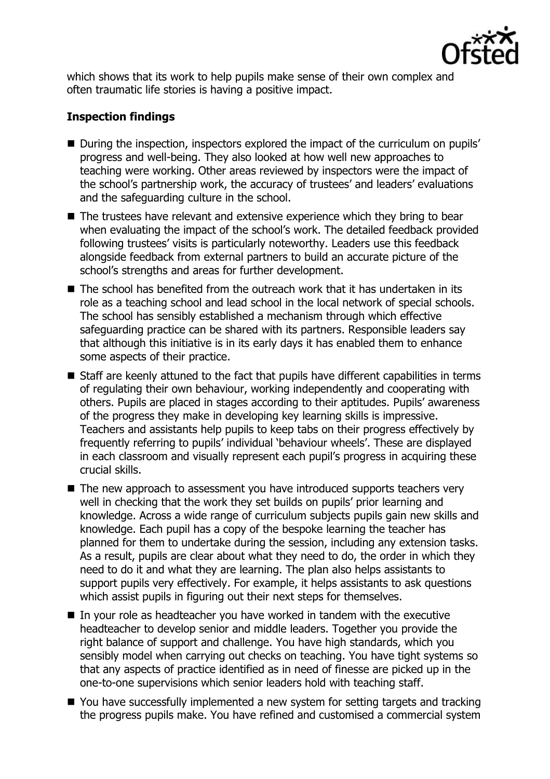

which shows that its work to help pupils make sense of their own complex and often traumatic life stories is having a positive impact.

# **Inspection findings**

- During the inspection, inspectors explored the impact of the curriculum on pupils' progress and well-being. They also looked at how well new approaches to teaching were working. Other areas reviewed by inspectors were the impact of the school's partnership work, the accuracy of trustees' and leaders' evaluations and the safeguarding culture in the school.
- The trustees have relevant and extensive experience which they bring to bear when evaluating the impact of the school's work. The detailed feedback provided following trustees' visits is particularly noteworthy. Leaders use this feedback alongside feedback from external partners to build an accurate picture of the school's strengths and areas for further development.
- $\blacksquare$  The school has benefited from the outreach work that it has undertaken in its role as a teaching school and lead school in the local network of special schools. The school has sensibly established a mechanism through which effective safeguarding practice can be shared with its partners. Responsible leaders say that although this initiative is in its early days it has enabled them to enhance some aspects of their practice.
- Staff are keenly attuned to the fact that pupils have different capabilities in terms of regulating their own behaviour, working independently and cooperating with others. Pupils are placed in stages according to their aptitudes. Pupils' awareness of the progress they make in developing key learning skills is impressive. Teachers and assistants help pupils to keep tabs on their progress effectively by frequently referring to pupils' individual 'behaviour wheels'. These are displayed in each classroom and visually represent each pupil's progress in acquiring these crucial skills.
- The new approach to assessment you have introduced supports teachers very well in checking that the work they set builds on pupils' prior learning and knowledge. Across a wide range of curriculum subjects pupils gain new skills and knowledge. Each pupil has a copy of the bespoke learning the teacher has planned for them to undertake during the session, including any extension tasks. As a result, pupils are clear about what they need to do, the order in which they need to do it and what they are learning. The plan also helps assistants to support pupils very effectively. For example, it helps assistants to ask questions which assist pupils in figuring out their next steps for themselves.
- In your role as headteacher you have worked in tandem with the executive headteacher to develop senior and middle leaders. Together you provide the right balance of support and challenge. You have high standards, which you sensibly model when carrying out checks on teaching. You have tight systems so that any aspects of practice identified as in need of finesse are picked up in the one-to-one supervisions which senior leaders hold with teaching staff.
- You have successfully implemented a new system for setting targets and tracking the progress pupils make. You have refined and customised a commercial system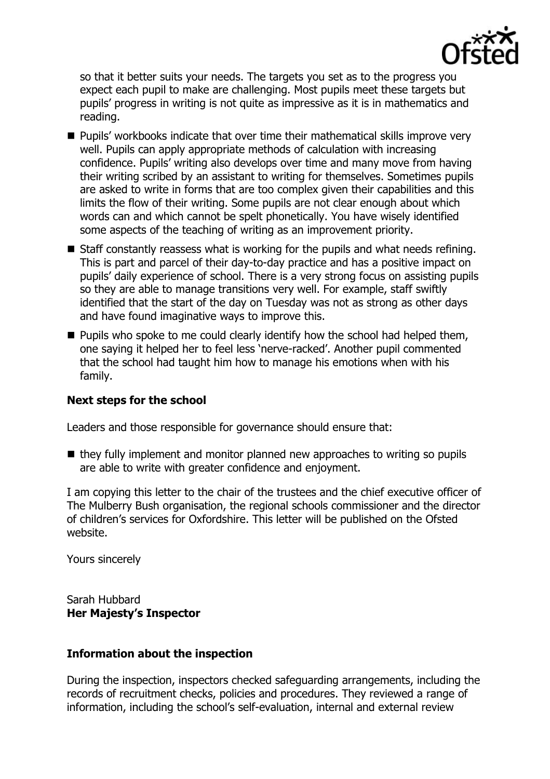

so that it better suits your needs. The targets you set as to the progress you expect each pupil to make are challenging. Most pupils meet these targets but pupils' progress in writing is not quite as impressive as it is in mathematics and reading.

- Pupils' workbooks indicate that over time their mathematical skills improve very well. Pupils can apply appropriate methods of calculation with increasing confidence. Pupils' writing also develops over time and many move from having their writing scribed by an assistant to writing for themselves. Sometimes pupils are asked to write in forms that are too complex given their capabilities and this limits the flow of their writing. Some pupils are not clear enough about which words can and which cannot be spelt phonetically. You have wisely identified some aspects of the teaching of writing as an improvement priority.
- $\blacksquare$  Staff constantly reassess what is working for the pupils and what needs refining. This is part and parcel of their day-to-day practice and has a positive impact on pupils' daily experience of school. There is a very strong focus on assisting pupils so they are able to manage transitions very well. For example, staff swiftly identified that the start of the day on Tuesday was not as strong as other days and have found imaginative ways to improve this.
- $\blacksquare$  Pupils who spoke to me could clearly identify how the school had helped them, one saying it helped her to feel less 'nerve-racked'. Another pupil commented that the school had taught him how to manage his emotions when with his family.

# **Next steps for the school**

Leaders and those responsible for governance should ensure that:

 $\blacksquare$  they fully implement and monitor planned new approaches to writing so pupils are able to write with greater confidence and enjoyment.

I am copying this letter to the chair of the trustees and the chief executive officer of The Mulberry Bush organisation, the regional schools commissioner and the director of children's services for Oxfordshire. This letter will be published on the Ofsted website.

Yours sincerely

Sarah Hubbard **Her Majesty's Inspector**

# **Information about the inspection**

During the inspection, inspectors checked safeguarding arrangements, including the records of recruitment checks, policies and procedures. They reviewed a range of information, including the school's self-evaluation, internal and external review